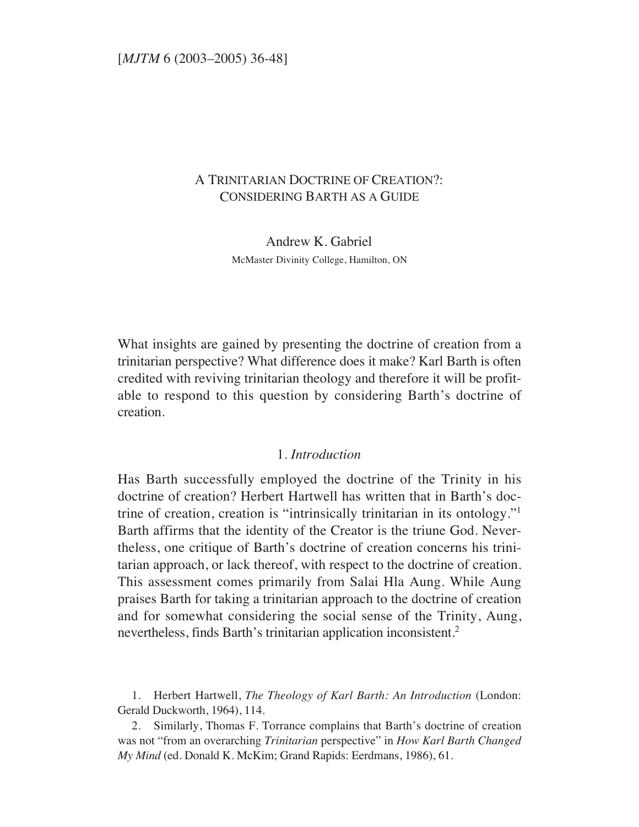# A TRINITARIAN DOCTRINE OF CREATION?: CONSIDERING BARTH AS A GUIDE

Andrew K. Gabriel McMaster Divinity College, Hamilton, ON

What insights are gained by presenting the doctrine of creation from a trinitarian perspective? What difference does it make? Karl Barth is often credited with reviving trinitarian theology and therefore it will be profitable to respond to this question by considering Barth's doctrine of creation.

## 1. *Introduction*

Has Barth successfully employed the doctrine of the Trinity in his doctrine of creation? Herbert Hartwell has written that in Barth's doctrine of creation, creation is "intrinsically trinitarian in its ontology."1 Barth affirms that the identity of the Creator is the triune God. Nevertheless, one critique of Barth's doctrine of creation concerns his trinitarian approach, or lack thereof, with respect to the doctrine of creation. This assessment comes primarily from Salai Hla Aung. While Aung praises Barth for taking a trinitarian approach to the doctrine of creation and for somewhat considering the social sense of the Trinity, Aung, nevertheless, finds Barth's trinitarian application inconsistent.2

1. Herbert Hartwell, *The Theology of Karl Barth: An Introduction* (London: Gerald Duckworth, 1964), 114.

2. Similarly, Thomas F. Torrance complains that Barth's doctrine of creation was not "from an overarching *Trinitarian* perspective" in *How Karl Barth Changed My Mind* (ed. Donald K. McKim; Grand Rapids: Eerdmans, 1986), 61.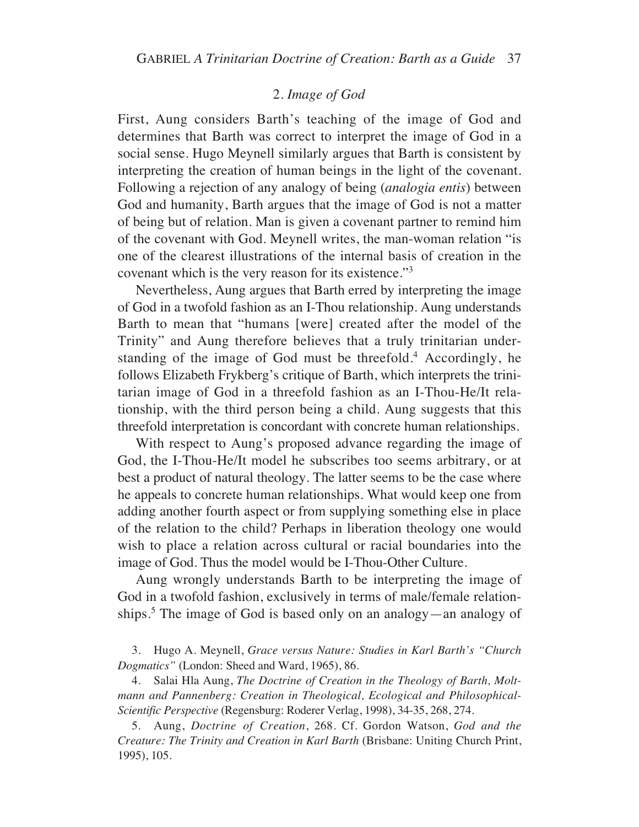# 2. *Image of God*

First, Aung considers Barth's teaching of the image of God and determines that Barth was correct to interpret the image of God in a social sense. Hugo Meynell similarly argues that Barth is consistent by interpreting the creation of human beings in the light of the covenant. Following a rejection of any analogy of being (*analogia entis*) between God and humanity, Barth argues that the image of God is not a matter of being but of relation. Man is given a covenant partner to remind him of the covenant with God. Meynell writes, the man-woman relation "is one of the clearest illustrations of the internal basis of creation in the covenant which is the very reason for its existence."3

Nevertheless, Aung argues that Barth erred by interpreting the image of God in a twofold fashion as an I-Thou relationship. Aung understands Barth to mean that "humans [were] created after the model of the Trinity" and Aung therefore believes that a truly trinitarian understanding of the image of God must be threefold.<sup>4</sup> Accordingly, he follows Elizabeth Frykberg's critique of Barth, which interprets the trinitarian image of God in a threefold fashion as an I-Thou-He/It relationship, with the third person being a child. Aung suggests that this threefold interpretation is concordant with concrete human relationships.

With respect to Aung's proposed advance regarding the image of God, the I-Thou-He/It model he subscribes too seems arbitrary, or at best a product of natural theology. The latter seems to be the case where he appeals to concrete human relationships. What would keep one from adding another fourth aspect or from supplying something else in place of the relation to the child? Perhaps in liberation theology one would wish to place a relation across cultural or racial boundaries into the image of God. Thus the model would be I-Thou-Other Culture.

Aung wrongly understands Barth to be interpreting the image of God in a twofold fashion, exclusively in terms of male/female relationships.5 The image of God is based only on an analogy—an analogy of

3. Hugo A. Meynell, *Grace versus Nature: Studies in Karl Barth's "Church Dogmatics"* (London: Sheed and Ward, 1965), 86.

4. Salai Hla Aung, *The Doctrine of Creation in the Theology of Barth, Moltmann and Pannenberg: Creation in Theological, Ecological and Philosophical-Scientific Perspective* (Regensburg: Roderer Verlag, 1998), 34-35, 268, 274.

5. Aung, *Doctrine of Creation*, 268. Cf. Gordon Watson, *God and the Creature: The Trinity and Creation in Karl Barth* (Brisbane: Uniting Church Print, 1995), 105.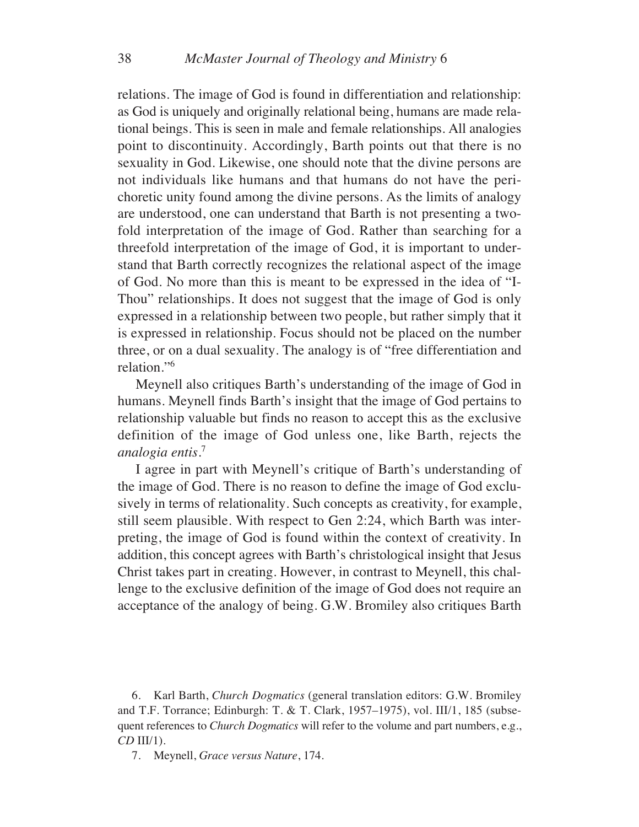relations. The image of God is found in differentiation and relationship: as God is uniquely and originally relational being, humans are made relational beings. This is seen in male and female relationships. All analogies point to discontinuity. Accordingly, Barth points out that there is no sexuality in God. Likewise, one should note that the divine persons are not individuals like humans and that humans do not have the perichoretic unity found among the divine persons. As the limits of analogy are understood, one can understand that Barth is not presenting a twofold interpretation of the image of God. Rather than searching for a threefold interpretation of the image of God, it is important to understand that Barth correctly recognizes the relational aspect of the image of God. No more than this is meant to be expressed in the idea of "I-Thou" relationships. It does not suggest that the image of God is only expressed in a relationship between two people, but rather simply that it is expressed in relationship. Focus should not be placed on the number three, or on a dual sexuality. The analogy is of "free differentiation and relation."6

Meynell also critiques Barth's understanding of the image of God in humans. Meynell finds Barth's insight that the image of God pertains to relationship valuable but finds no reason to accept this as the exclusive definition of the image of God unless one, like Barth, rejects the *analogia entis*. 7

I agree in part with Meynell's critique of Barth's understanding of the image of God. There is no reason to define the image of God exclusively in terms of relationality. Such concepts as creativity, for example, still seem plausible. With respect to Gen 2:24, which Barth was interpreting, the image of God is found within the context of creativity. In addition, this concept agrees with Barth's christological insight that Jesus Christ takes part in creating. However, in contrast to Meynell, this challenge to the exclusive definition of the image of God does not require an acceptance of the analogy of being. G.W. Bromiley also critiques Barth

6. Karl Barth, *Church Dogmatics* (general translation editors: G.W. Bromiley and T.F. Torrance; Edinburgh: T. & T. Clark, 1957–1975), vol. III/1, 185 (subsequent references to *Church Dogmatics* will refer to the volume and part numbers, e.g., *CD* III/1).

7. Meynell, *Grace versus Nature*, 174.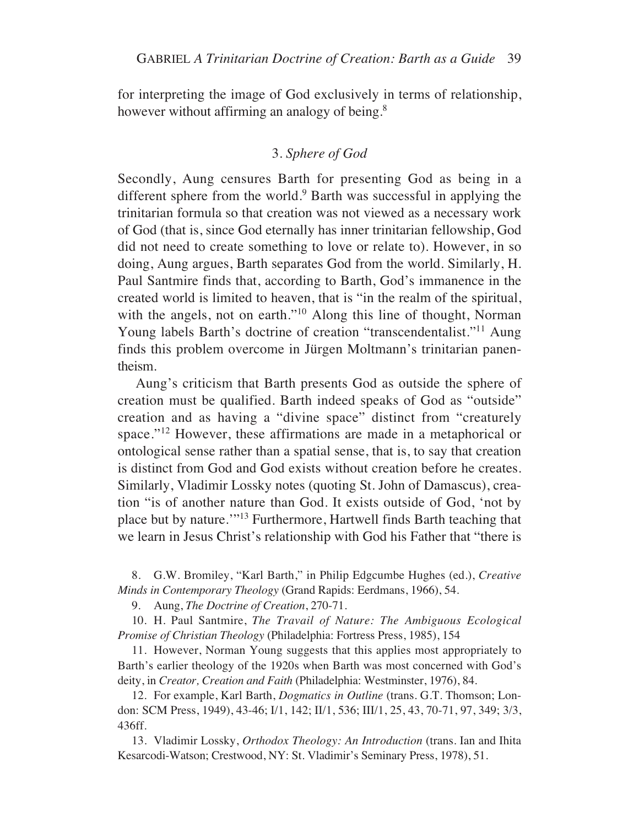for interpreting the image of God exclusively in terms of relationship, however without affirming an analogy of being.<sup>8</sup>

## 3. *Sphere of God*

Secondly, Aung censures Barth for presenting God as being in a different sphere from the world.<sup>9</sup> Barth was successful in applying the trinitarian formula so that creation was not viewed as a necessary work of God (that is, since God eternally has inner trinitarian fellowship, God did not need to create something to love or relate to). However, in so doing, Aung argues, Barth separates God from the world. Similarly, H. Paul Santmire finds that, according to Barth, God's immanence in the created world is limited to heaven, that is "in the realm of the spiritual, with the angels, not on earth."<sup>10</sup> Along this line of thought, Norman Young labels Barth's doctrine of creation "transcendentalist."<sup>11</sup> Aung finds this problem overcome in Jürgen Moltmann's trinitarian panentheism.

Aung's criticism that Barth presents God as outside the sphere of creation must be qualified. Barth indeed speaks of God as "outside" creation and as having a "divine space" distinct from "creaturely space."<sup>12</sup> However, these affirmations are made in a metaphorical or ontological sense rather than a spatial sense, that is, to say that creation is distinct from God and God exists without creation before he creates. Similarly, Vladimir Lossky notes (quoting St. John of Damascus), creation "is of another nature than God. It exists outside of God, 'not by place but by nature.'"13 Furthermore, Hartwell finds Barth teaching that we learn in Jesus Christ's relationship with God his Father that "there is

8. G.W. Bromiley, "Karl Barth," in Philip Edgcumbe Hughes (ed.), *Creative Minds in Contemporary Theology* (Grand Rapids: Eerdmans, 1966), 54.

9. Aung, *The Doctrine of Creation*, 270-71.

10. H. Paul Santmire, *The Travail of Nature: The Ambiguous Ecological Promise of Christian Theology* (Philadelphia: Fortress Press, 1985), 154

11. However, Norman Young suggests that this applies most appropriately to Barth's earlier theology of the 1920s when Barth was most concerned with God's deity, in *Creator, Creation and Faith* (Philadelphia: Westminster, 1976), 84.

12. For example, Karl Barth, *Dogmatics in Outline* (trans. G.T. Thomson; London: SCM Press, 1949), 43-46; I/1, 142; II/1, 536; III/1, 25, 43, 70-71, 97, 349; 3/3, 436ff.

13. Vladimir Lossky, *Orthodox Theology: An Introduction* (trans. Ian and Ihita Kesarcodi-Watson; Crestwood, NY: St. Vladimir's Seminary Press, 1978), 51.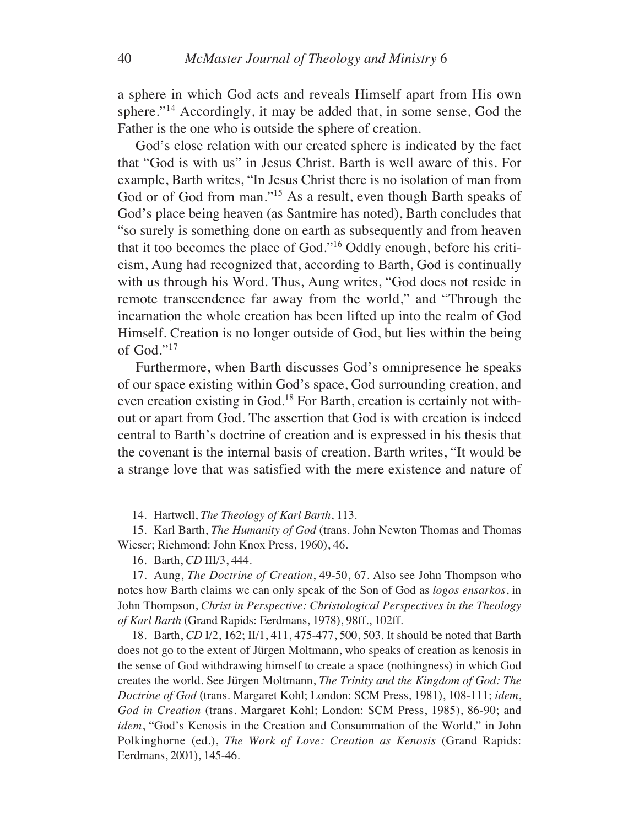a sphere in which God acts and reveals Himself apart from His own sphere."<sup>14</sup> Accordingly, it may be added that, in some sense, God the Father is the one who is outside the sphere of creation.

God's close relation with our created sphere is indicated by the fact that "God is with us" in Jesus Christ. Barth is well aware of this. For example, Barth writes, "In Jesus Christ there is no isolation of man from God or of God from man."15 As a result, even though Barth speaks of God's place being heaven (as Santmire has noted), Barth concludes that "so surely is something done on earth as subsequently and from heaven that it too becomes the place of God."16 Oddly enough, before his criticism, Aung had recognized that, according to Barth, God is continually with us through his Word. Thus, Aung writes, "God does not reside in remote transcendence far away from the world," and "Through the incarnation the whole creation has been lifted up into the realm of God Himself. Creation is no longer outside of God, but lies within the being of God."17

Furthermore, when Barth discusses God's omnipresence he speaks of our space existing within God's space, God surrounding creation, and even creation existing in God.18 For Barth, creation is certainly not without or apart from God. The assertion that God is with creation is indeed central to Barth's doctrine of creation and is expressed in his thesis that the covenant is the internal basis of creation. Barth writes, "It would be a strange love that was satisfied with the mere existence and nature of

14. Hartwell, *The Theology of Karl Barth*, 113.

15. Karl Barth, *The Humanity of God* (trans. John Newton Thomas and Thomas Wieser; Richmond: John Knox Press, 1960), 46.

16. Barth, *CD* III/3, 444.

17. Aung, *The Doctrine of Creation*, 49-50, 67. Also see John Thompson who notes how Barth claims we can only speak of the Son of God as *logos ensarkos*, in John Thompson, *Christ in Perspective: Christological Perspectives in the Theology of Karl Barth* (Grand Rapids: Eerdmans, 1978), 98ff., 102ff.

18. Barth, *CD* I/2, 162; II/1, 411, 475-477, 500, 503. It should be noted that Barth does not go to the extent of Jürgen Moltmann, who speaks of creation as kenosis in the sense of God withdrawing himself to create a space (nothingness) in which God creates the world. See Jürgen Moltmann, *The Trinity and the Kingdom of God: The Doctrine of God* (trans. Margaret Kohl; London: SCM Press, 1981), 108-111; *idem*, *God in Creation* (trans. Margaret Kohl; London: SCM Press, 1985), 86-90; and *idem*, "God's Kenosis in the Creation and Consummation of the World," in John Polkinghorne (ed.), *The Work of Love: Creation as Kenosis* (Grand Rapids: Eerdmans, 2001), 145-46.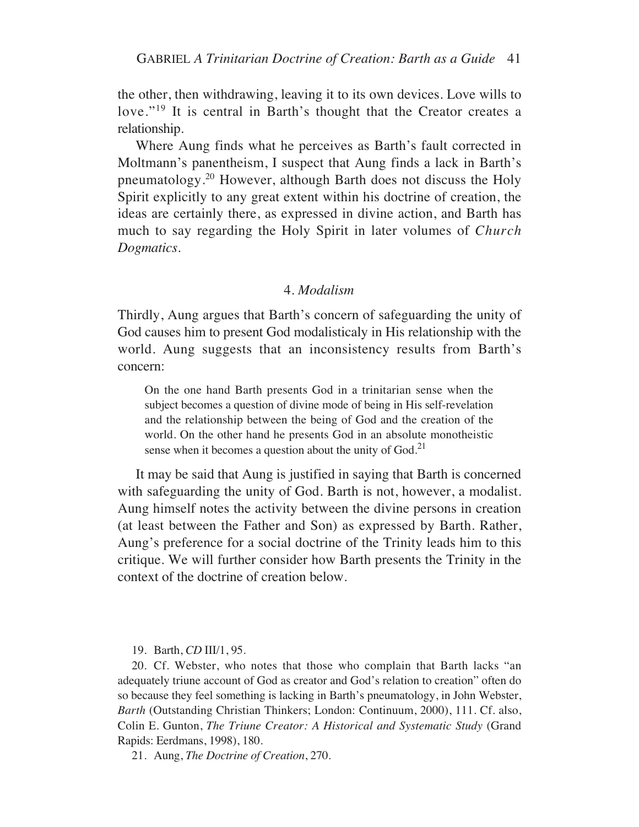the other, then withdrawing, leaving it to its own devices. Love wills to love."<sup>19</sup> It is central in Barth's thought that the Creator creates a relationship.

Where Aung finds what he perceives as Barth's fault corrected in Moltmann's panentheism, I suspect that Aung finds a lack in Barth's pneumatology.20 However, although Barth does not discuss the Holy Spirit explicitly to any great extent within his doctrine of creation, the ideas are certainly there, as expressed in divine action, and Barth has much to say regarding the Holy Spirit in later volumes of *Church Dogmatics*.

#### 4. *Modalism*

Thirdly, Aung argues that Barth's concern of safeguarding the unity of God causes him to present God modalisticaly in His relationship with the world. Aung suggests that an inconsistency results from Barth's concern:

On the one hand Barth presents God in a trinitarian sense when the subject becomes a question of divine mode of being in His self-revelation and the relationship between the being of God and the creation of the world. On the other hand he presents God in an absolute monotheistic sense when it becomes a question about the unity of  $God.<sup>21</sup>$ 

It may be said that Aung is justified in saying that Barth is concerned with safeguarding the unity of God. Barth is not, however, a modalist. Aung himself notes the activity between the divine persons in creation (at least between the Father and Son) as expressed by Barth. Rather, Aung's preference for a social doctrine of the Trinity leads him to this critique. We will further consider how Barth presents the Trinity in the context of the doctrine of creation below.

19. Barth, *CD* III/1, 95.

20. Cf. Webster, who notes that those who complain that Barth lacks "an adequately triune account of God as creator and God's relation to creation" often do so because they feel something is lacking in Barth's pneumatology, in John Webster, *Barth* (Outstanding Christian Thinkers; London: Continuum, 2000), 111. Cf. also, Colin E. Gunton, *The Triune Creator: A Historical and Systematic Study* (Grand Rapids: Eerdmans, 1998), 180.

21. Aung, *The Doctrine of Creation*, 270.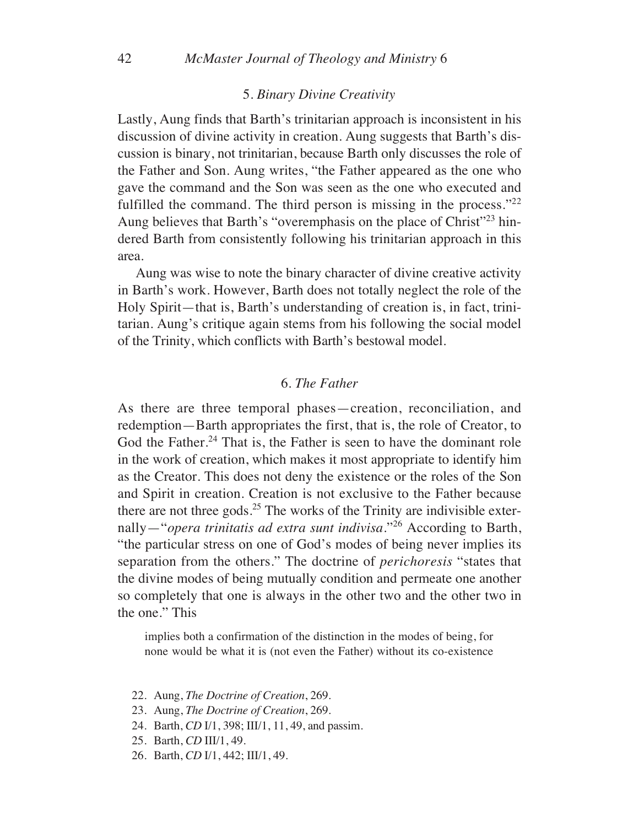#### 5. *Binary Divine Creativity*

Lastly, Aung finds that Barth's trinitarian approach is inconsistent in his discussion of divine activity in creation. Aung suggests that Barth's discussion is binary, not trinitarian, because Barth only discusses the role of the Father and Son. Aung writes, "the Father appeared as the one who gave the command and the Son was seen as the one who executed and fulfilled the command. The third person is missing in the process."<sup>22</sup> Aung believes that Barth's "overemphasis on the place of Christ"23 hindered Barth from consistently following his trinitarian approach in this area.

Aung was wise to note the binary character of divine creative activity in Barth's work. However, Barth does not totally neglect the role of the Holy Spirit—that is, Barth's understanding of creation is, in fact, trinitarian. Aung's critique again stems from his following the social model of the Trinity, which conflicts with Barth's bestowal model.

### 6. *The Father*

As there are three temporal phases—creation, reconciliation, and redemption—Barth appropriates the first, that is, the role of Creator, to God the Father.<sup>24</sup> That is, the Father is seen to have the dominant role in the work of creation, which makes it most appropriate to identify him as the Creator. This does not deny the existence or the roles of the Son and Spirit in creation. Creation is not exclusive to the Father because there are not three gods. $25$  The works of the Trinity are indivisible externally—"*opera trinitatis ad extra sunt indivisa*."26 According to Barth, "the particular stress on one of God's modes of being never implies its separation from the others." The doctrine of *perichoresis* "states that the divine modes of being mutually condition and permeate one another so completely that one is always in the other two and the other two in the one." This

implies both a confirmation of the distinction in the modes of being, for none would be what it is (not even the Father) without its co-existence

- 22. Aung, *The Doctrine of Creation*, 269.
- 23. Aung, *The Doctrine of Creation*, 269.
- 24. Barth, *CD* I/1, 398; III/1, 11, 49, and passim.
- 25. Barth, *CD* III/1, 49.
- 26. Barth, *CD* I/1, 442; III/1, 49.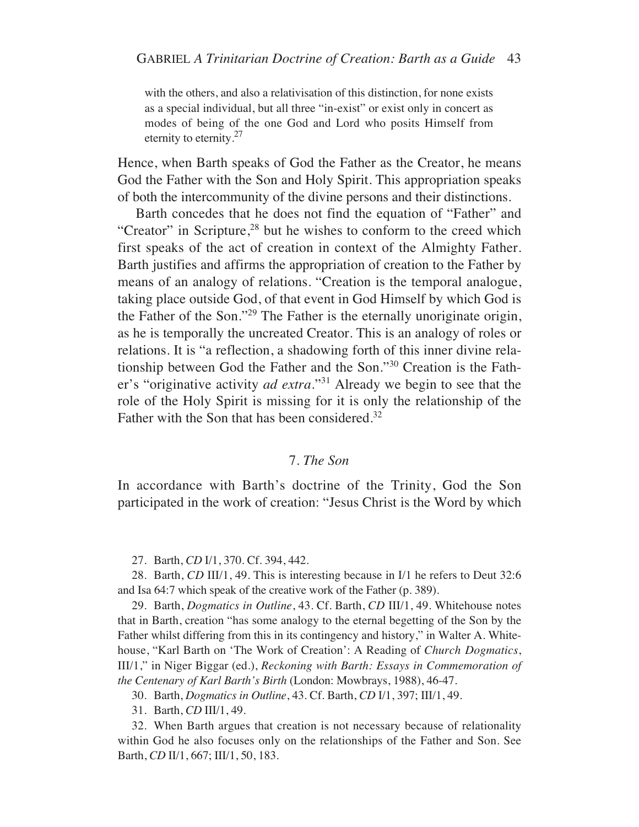with the others, and also a relativisation of this distinction, for none exists as a special individual, but all three "in-exist" or exist only in concert as modes of being of the one God and Lord who posits Himself from eternity to eternity.<sup>27</sup>

Hence, when Barth speaks of God the Father as the Creator, he means God the Father with the Son and Holy Spirit. This appropriation speaks of both the intercommunity of the divine persons and their distinctions.

Barth concedes that he does not find the equation of "Father" and "Creator" in Scripture, $28$  but he wishes to conform to the creed which first speaks of the act of creation in context of the Almighty Father. Barth justifies and affirms the appropriation of creation to the Father by means of an analogy of relations. "Creation is the temporal analogue, taking place outside God, of that event in God Himself by which God is the Father of the Son."29 The Father is the eternally unoriginate origin, as he is temporally the uncreated Creator. This is an analogy of roles or relations. It is "a reflection, a shadowing forth of this inner divine relationship between God the Father and the Son."30 Creation is the Father's "originative activity *ad extra*."31 Already we begin to see that the role of the Holy Spirit is missing for it is only the relationship of the Father with the Son that has been considered.<sup>32</sup>

### 7. *The Son*

In accordance with Barth's doctrine of the Trinity, God the Son participated in the work of creation: "Jesus Christ is the Word by which

27. Barth, *CD* I/1, 370. Cf. 394, 442.

28. Barth, *CD* III/1, 49. This is interesting because in I/1 he refers to Deut 32:6 and Isa 64:7 which speak of the creative work of the Father (p. 389).

29. Barth, *Dogmatics in Outline*, 43. Cf. Barth, *CD* III/1, 49. Whitehouse notes that in Barth, creation "has some analogy to the eternal begetting of the Son by the Father whilst differing from this in its contingency and history," in Walter A. Whitehouse, "Karl Barth on 'The Work of Creation': A Reading of *Church Dogmatics*, III/1," in Niger Biggar (ed.), *Reckoning with Barth: Essays in Commemoration of the Centenary of Karl Barth's Birth* (London: Mowbrays, 1988), 46-47.

30. Barth, *Dogmatics in Outline*, 43. Cf. Barth, *CD* I/1, 397; III/1, 49.

31. Barth, *CD* III/1, 49.

32. When Barth argues that creation is not necessary because of relationality within God he also focuses only on the relationships of the Father and Son. See Barth, *CD* II/1, 667; III/1, 50, 183.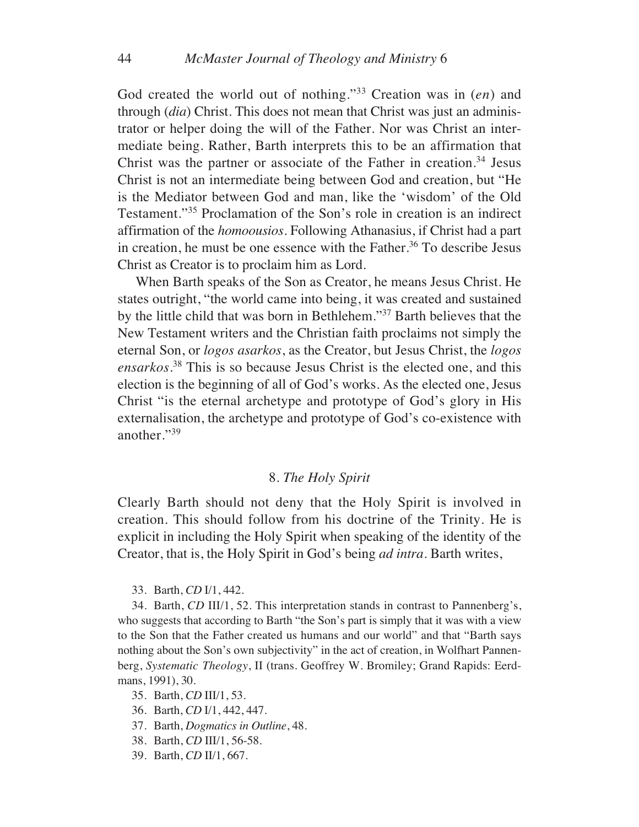God created the world out of nothing."33 Creation was in (*en*) and through (*dia*) Christ. This does not mean that Christ was just an administrator or helper doing the will of the Father. Nor was Christ an intermediate being. Rather, Barth interprets this to be an affirmation that Christ was the partner or associate of the Father in creation.<sup>34</sup> Jesus Christ is not an intermediate being between God and creation, but "He is the Mediator between God and man, like the 'wisdom' of the Old Testament."35 Proclamation of the Son's role in creation is an indirect affirmation of the *homoousios*. Following Athanasius, if Christ had a part in creation, he must be one essence with the Father.<sup>36</sup> To describe Jesus Christ as Creator is to proclaim him as Lord.

When Barth speaks of the Son as Creator, he means Jesus Christ. He states outright, "the world came into being, it was created and sustained by the little child that was born in Bethlehem."37 Barth believes that the New Testament writers and the Christian faith proclaims not simply the eternal Son, or *logos asarkos*, as the Creator, but Jesus Christ, the *logos ensarkos*. <sup>38</sup> This is so because Jesus Christ is the elected one, and this election is the beginning of all of God's works. As the elected one, Jesus Christ "is the eternal archetype and prototype of God's glory in His externalisation, the archetype and prototype of God's co-existence with another."<sup>39</sup>

## 8. *The Holy Spirit*

Clearly Barth should not deny that the Holy Spirit is involved in creation. This should follow from his doctrine of the Trinity. He is explicit in including the Holy Spirit when speaking of the identity of the Creator, that is, the Holy Spirit in God's being *ad intra*. Barth writes,

33. Barth, *CD* I/1, 442.

34. Barth, *CD* III/1, 52. This interpretation stands in contrast to Pannenberg's, who suggests that according to Barth "the Son's part is simply that it was with a view to the Son that the Father created us humans and our world" and that "Barth says nothing about the Son's own subjectivity" in the act of creation, in Wolfhart Pannenberg, *Systematic Theology*, II (trans. Geoffrey W. Bromiley; Grand Rapids: Eerdmans, 1991), 30.

35. Barth, *CD* III/1, 53.

- 36. Barth, *CD* I/1, 442, 447.
- 37. Barth, *Dogmatics in Outline*, 48.
- 38. Barth, *CD* III/1, 56-58.
- 39. Barth, *CD* II/1, 667.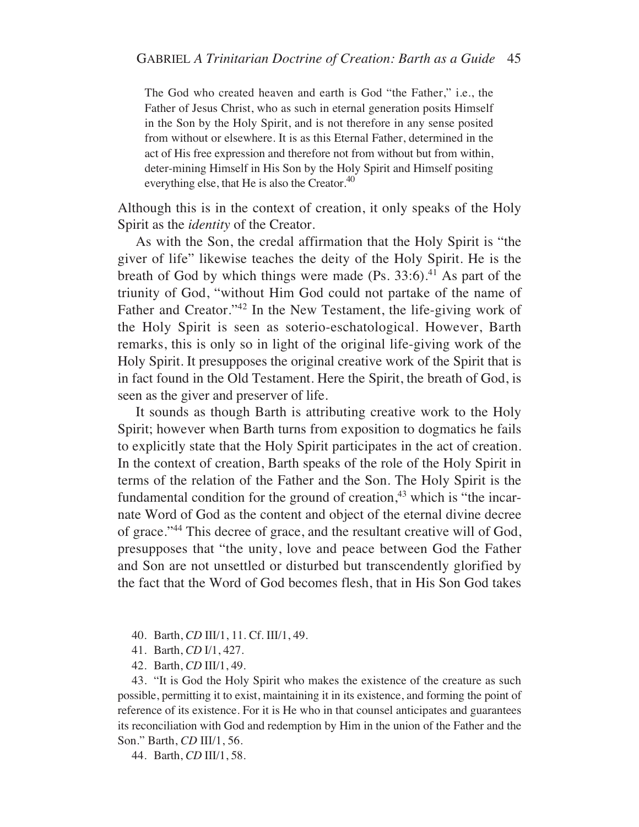The God who created heaven and earth is God "the Father," i.e., the Father of Jesus Christ, who as such in eternal generation posits Himself in the Son by the Holy Spirit, and is not therefore in any sense posited from without or elsewhere. It is as this Eternal Father, determined in the act of His free expression and therefore not from without but from within, deter-mining Himself in His Son by the Holy Spirit and Himself positing everything else, that He is also the Creator. $40$ 

Although this is in the context of creation, it only speaks of the Holy Spirit as the *identity* of the Creator.

As with the Son, the credal affirmation that the Holy Spirit is "the giver of life" likewise teaches the deity of the Holy Spirit. He is the breath of God by which things were made  $(P_s. 33:6)^{41}$  As part of the triunity of God, "without Him God could not partake of the name of Father and Creator."42 In the New Testament, the life-giving work of the Holy Spirit is seen as soterio-eschatological. However, Barth remarks, this is only so in light of the original life-giving work of the Holy Spirit. It presupposes the original creative work of the Spirit that is in fact found in the Old Testament. Here the Spirit, the breath of God, is seen as the giver and preserver of life.

It sounds as though Barth is attributing creative work to the Holy Spirit; however when Barth turns from exposition to dogmatics he fails to explicitly state that the Holy Spirit participates in the act of creation. In the context of creation, Barth speaks of the role of the Holy Spirit in terms of the relation of the Father and the Son. The Holy Spirit is the fundamental condition for the ground of creation, $43$  which is "the incarnate Word of God as the content and object of the eternal divine decree of grace."44 This decree of grace, and the resultant creative will of God, presupposes that "the unity, love and peace between God the Father and Son are not unsettled or disturbed but transcendently glorified by the fact that the Word of God becomes flesh, that in His Son God takes

- 40. Barth, *CD* III/1, 11. Cf. III/1, 49.
- 41. Barth, *CD* I/1, 427.
- 42. Barth, *CD* III/1, 49.

43. "It is God the Holy Spirit who makes the existence of the creature as such possible, permitting it to exist, maintaining it in its existence, and forming the point of reference of its existence. For it is He who in that counsel anticipates and guarantees its reconciliation with God and redemption by Him in the union of the Father and the Son." Barth, *CD* III/1, 56.

44. Barth, *CD* III/1, 58.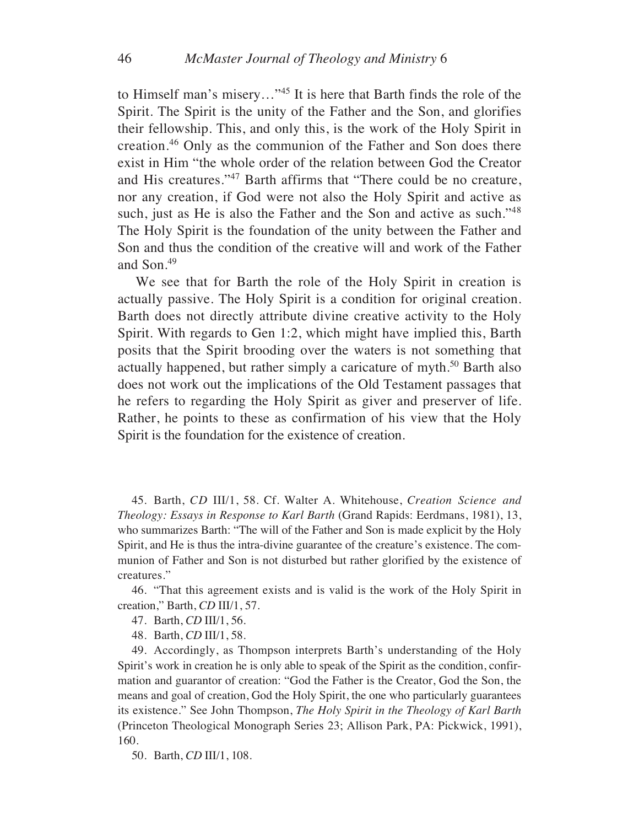to Himself man's misery…"45 It is here that Barth finds the role of the Spirit. The Spirit is the unity of the Father and the Son, and glorifies their fellowship. This, and only this, is the work of the Holy Spirit in creation.46 Only as the communion of the Father and Son does there exist in Him "the whole order of the relation between God the Creator and His creatures."47 Barth affirms that "There could be no creature, nor any creation, if God were not also the Holy Spirit and active as such, just as He is also the Father and the Son and active as such."<sup>48</sup> The Holy Spirit is the foundation of the unity between the Father and Son and thus the condition of the creative will and work of the Father and Son.49

We see that for Barth the role of the Holy Spirit in creation is actually passive. The Holy Spirit is a condition for original creation. Barth does not directly attribute divine creative activity to the Holy Spirit. With regards to Gen 1:2, which might have implied this, Barth posits that the Spirit brooding over the waters is not something that actually happened, but rather simply a caricature of myth.<sup>50</sup> Barth also does not work out the implications of the Old Testament passages that he refers to regarding the Holy Spirit as giver and preserver of life. Rather, he points to these as confirmation of his view that the Holy Spirit is the foundation for the existence of creation.

45. Barth, *CD* III/1, 58. Cf. Walter A. Whitehouse, *Creation Science and Theology: Essays in Response to Karl Barth* (Grand Rapids: Eerdmans, 1981), 13, who summarizes Barth: "The will of the Father and Son is made explicit by the Holy Spirit, and He is thus the intra-divine guarantee of the creature's existence. The communion of Father and Son is not disturbed but rather glorified by the existence of creatures."

46. "That this agreement exists and is valid is the work of the Holy Spirit in creation," Barth, *CD* III/1, 57.

- 47. Barth, *CD* III/1, 56.
- 48. Barth, *CD* III/1, 58.

49. Accordingly, as Thompson interprets Barth's understanding of the Holy Spirit's work in creation he is only able to speak of the Spirit as the condition, confirmation and guarantor of creation: "God the Father is the Creator, God the Son, the means and goal of creation, God the Holy Spirit, the one who particularly guarantees its existence." See John Thompson, *The Holy Spirit in the Theology of Karl Barth* (Princeton Theological Monograph Series 23; Allison Park, PA: Pickwick, 1991), 160.

50. Barth, *CD* III/1, 108.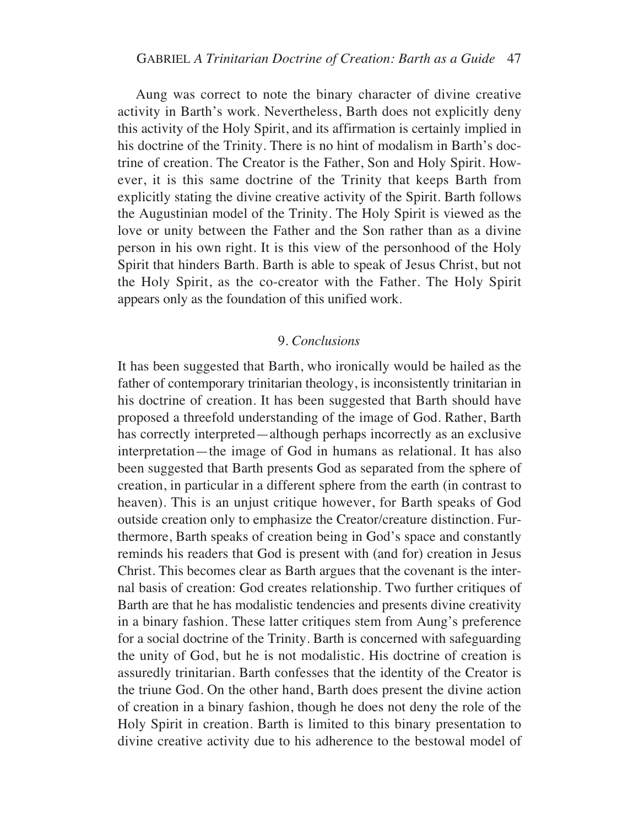Aung was correct to note the binary character of divine creative activity in Barth's work. Nevertheless, Barth does not explicitly deny this activity of the Holy Spirit, and its affirmation is certainly implied in his doctrine of the Trinity. There is no hint of modalism in Barth's doctrine of creation. The Creator is the Father, Son and Holy Spirit. However, it is this same doctrine of the Trinity that keeps Barth from explicitly stating the divine creative activity of the Spirit. Barth follows the Augustinian model of the Trinity. The Holy Spirit is viewed as the love or unity between the Father and the Son rather than as a divine person in his own right. It is this view of the personhood of the Holy Spirit that hinders Barth. Barth is able to speak of Jesus Christ, but not the Holy Spirit, as the co-creator with the Father. The Holy Spirit appears only as the foundation of this unified work.

## 9. *Conclusions*

It has been suggested that Barth, who ironically would be hailed as the father of contemporary trinitarian theology, is inconsistently trinitarian in his doctrine of creation. It has been suggested that Barth should have proposed a threefold understanding of the image of God. Rather, Barth has correctly interpreted—although perhaps incorrectly as an exclusive interpretation—the image of God in humans as relational. It has also been suggested that Barth presents God as separated from the sphere of creation, in particular in a different sphere from the earth (in contrast to heaven). This is an unjust critique however, for Barth speaks of God outside creation only to emphasize the Creator/creature distinction. Furthermore, Barth speaks of creation being in God's space and constantly reminds his readers that God is present with (and for) creation in Jesus Christ. This becomes clear as Barth argues that the covenant is the internal basis of creation: God creates relationship. Two further critiques of Barth are that he has modalistic tendencies and presents divine creativity in a binary fashion. These latter critiques stem from Aung's preference for a social doctrine of the Trinity. Barth is concerned with safeguarding the unity of God, but he is not modalistic. His doctrine of creation is assuredly trinitarian. Barth confesses that the identity of the Creator is the triune God. On the other hand, Barth does present the divine action of creation in a binary fashion, though he does not deny the role of the Holy Spirit in creation. Barth is limited to this binary presentation to divine creative activity due to his adherence to the bestowal model of